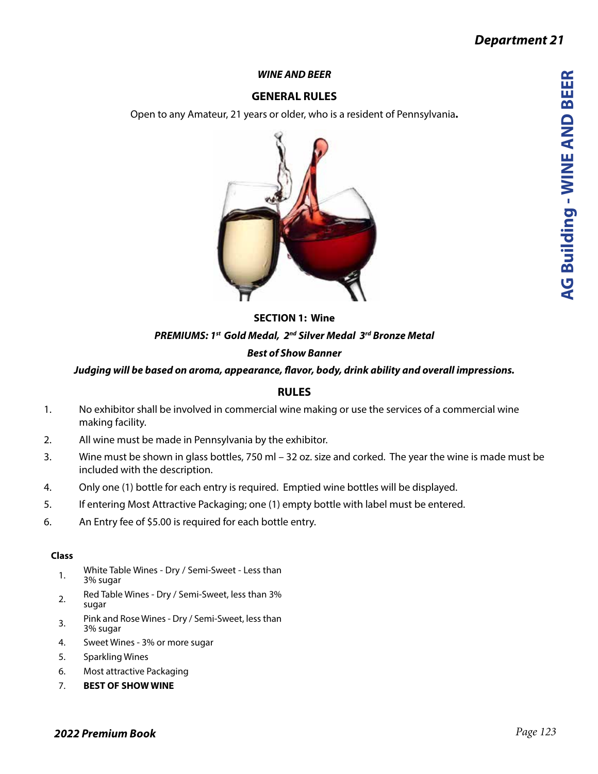**AG Building - WINE AND BEER**

**AG Building - WINE AND BEER** 

#### *WINE AND BEER*

# **GENERAL RULES**

Open to any Amateur, 21 years or older, who is a resident of Pennsylvania**.**



# **SECTION 1: Wine** *PREMIUMS: 1st Gold Medal, 2nd Silver Medal 3rd Bronze Metal Best of Show Banner*

### *Judging will be based on aroma, appearance, flavor, body, drink ability and overall impressions.*

## **RULES**

- 1. No exhibitor shall be involved in commercial wine making or use the services of a commercial wine making facility.
- 2. All wine must be made in Pennsylvania by the exhibitor.
- 3. Wine must be shown in glass bottles, 750 ml 32 oz. size and corked. The year the wine is made must be included with the description.
- 4. Only one (1) bottle for each entry is required. Emptied wine bottles will be displayed.
- 5. If entering Most Attractive Packaging; one (1) empty bottle with label must be entered.
- 6. An Entry fee of \$5.00 is required for each bottle entry.

#### **Class**

- 1. White Table Wines Dry / Semi-Sweet Less than 3% sugar
- 2. Red Table Wines Dry / Semi-Sweet, less than 3% sugar
- 3. Pink and Rose Wines Dry / Semi-Sweet, less than 3% sugar
- 4. Sweet Wines 3% or more sugar
- 5. Sparkling Wines
- 6. Most attractive Packaging
- 7. **BEST OF SHOW WINE**